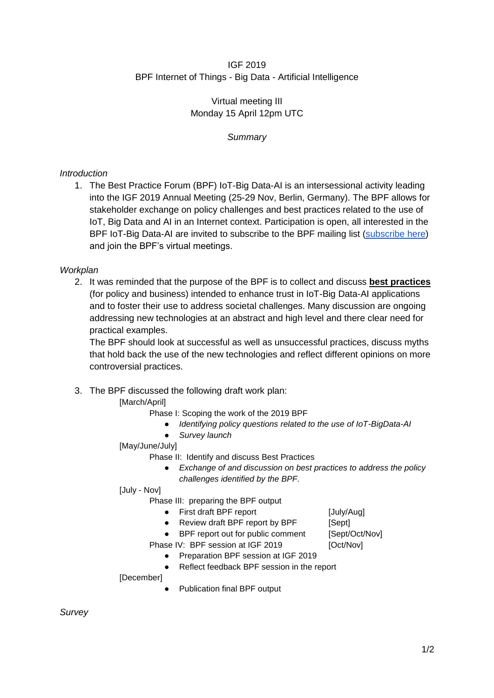#### IGF 2019 BPF Internet of Things - Big Data - Artificial Intelligence

#### Virtual meeting III Monday 15 April 12pm UTC

# *Summary*

# *Introduction*

1. The Best Practice Forum (BPF) IoT-Big Data-AI is an intersessional activity leading into the IGF 2019 Annual Meeting (25-29 Nov, Berlin, Germany). The BPF allows for stakeholder exchange on policy challenges and best practices related to the use of IoT, Big Data and AI in an Internet context. Participation is open, all interested in the BPF IoT-Big Data-AI are invited to subscribe to the BPF mailing list [\(subscribe here\)](https://intgovforum.org/mailman/listinfo/aiiotbd_intgovforum.org) and join the BPF's virtual meetings.

# *Workplan*

2. It was reminded that the purpose of the BPF is to collect and discuss **best practices** (for policy and business) intended to enhance trust in IoT-Big Data-AI applications and to foster their use to address societal challenges. Many discussion are ongoing addressing new technologies at an abstract and high level and there clear need for practical examples.

The BPF should look at successful as well as unsuccessful practices, discuss myths that hold back the use of the new technologies and reflect different opinions on more controversial practices.

# 3. The BPF discussed the following draft work plan:

# [March/April]

Phase I: Scoping the work of the 2019 BPF

- *Identifying policy questions related to the use of IoT-BigData-AI*
- *Survey launch*

# [May/June/July]

Phase II: Identify and discuss Best Practices

● *Exchange of and discussion on best practices to address the policy challenges identified by the BPF.*

#### [July - Nov]

Phase III: preparing the BPF output

- First draft BPF report [July/Aug]
- Review draft BPF report by BPF [Sept]
- BPF report out for public comment [Sept/Oct/Nov]
- Phase IV: BPF session at IGF 2019 [Oct/Nov]
	- Preparation BPF session at IGF 2019
	- Reflect feedback BPF session in the report

#### [December]

Publication final BPF output

*Survey*